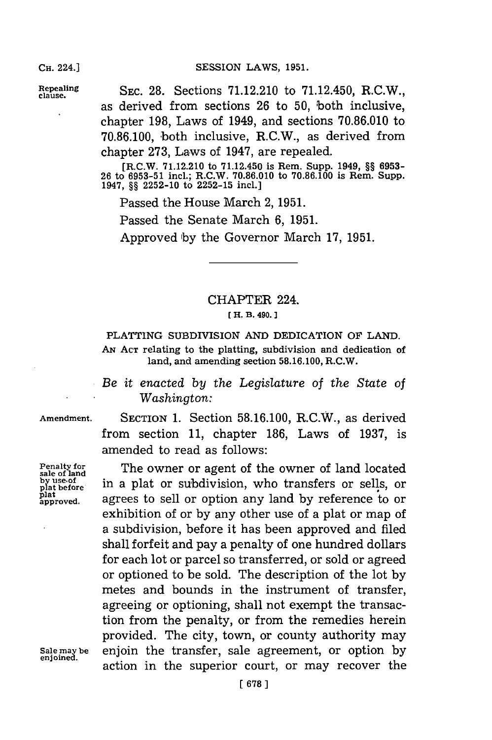**epling** SEc. **28.** Sections **71.12.210** to 71.12.450, R.C.W., as derived from sections **26** to **50,** both inclusive, chapter **198,** Laws of 1949, and sections **70.86.010** to **70.86.100,** both inclusive, R.C.W., as derived from chapter **273,** Laws of 1947, are repealed.

> [R.C.W. **71.12.210** to 71.12.450 is Rem. Supp. 1949, **§§ 6953- 26** to **6953-51** incl.; R.C.W. **70.86.010 to 70.86.100** is Rem. Supp. 1947, **§§ 2252-10** to **2252-15** incl.]

Passed the House March 2, 1951.

Passed the Senate March **6, 1951.**

Approved **'by** the Governor March **17, 1951.**

## CHAPTER 224. **[ H. B. 490.]1**

## PLATTING SUBDIVISION **AND** DEDICATION OF **LAND. AN ACT** relating to the platting, subdivision and dedication of land, and amending section **58.16.100,** R.C.W.

*Be it enacted by the Legislature* of *the State of Washington:*

from section **11,** chapter **186,** Laws of **1937,** is

amended to read as follows:

**Amendment.** SECTION **1.** Section **58.16.100,** R.C.W., as derived

**Penalty for<br>sale of land<br>by use of<br>plat before** plat<br>approved.

The owner or agent of the owner of land located in a plat or subdivision, who transfers or sells, or agrees to sell or option any land by reference to or exhibition of or **by** any other use of a plat or map of a subdivision, before it has been approved and filed shall forfeit and pay a penalty of one hundred dollars for each lot or parcel so transferred, or sold or agreed or optioned to be sold. The description of the lot **by** metes and bounds in the instrument of transfer, agreeing or optioning, shall not exempt the transaction from the penalty, or from the remedies herein provided. The city, town, or county authority may **Sale may be** enjoin the transfer, sale agreement, or option **by** action in the superior court, or may recover the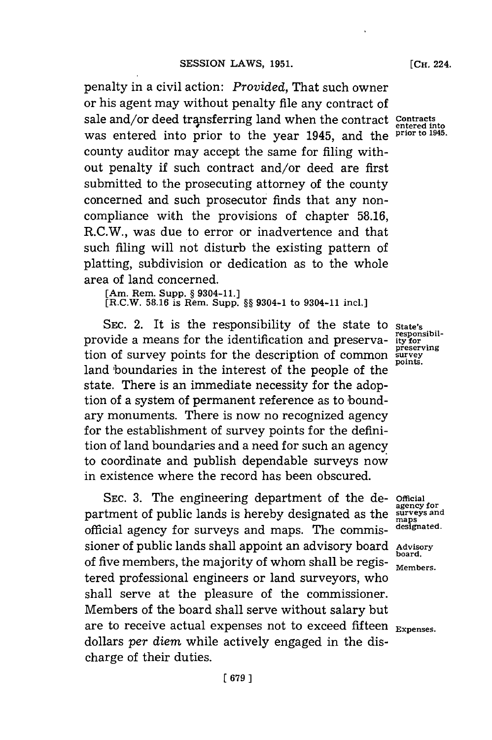penalty in a civil action: *Provided,* That such owner or his agent may without penalty file any contract of sale and/or deed transferring land when the contract contracts was entered into prior to the year 1945, and the **prior to 1945.** county auditor may accept the same for filing without penalty if such contract and/or deed are first submitted to the prosecuting attorney of the county concerned and such prosecutor finds that any noncompliance with the provisions of chapter **58.16,** R.C.W., was due to error or inadvertence and that such filing will not disturb the existing pattern of platting, subdivision or dedication as to the whole area of land concerned.

**[Am. Rem. Supp. § 9304-11.]**

(R.C.W. 58.16 is Rem. Supp. §§ 9304-1 to 9304-11 inc.

SEC. 2. It is the responsibility of the state to **State's**<br>vide a means for the identification and preserva- ity for provide a means for the identification and preserva- it for the integral of the preserving tion of survey points for the description of common **survey** points. land boundaries in the interest of the people of the state. There is an immediate necessity for the adoption of a system of permanent reference as to 'boundary monuments. There is now no recognized agency for the establishment of survey points for the definition of land boundaries and a need for such an agency to coordinate and publish dependable surveys now in existence where the record has been obscured.

**SEC. 3.** The engineering department of the de- **Official** partment of public lands is hereby designated as the official agency for surveys and maps. The commissioner of public lands shall appoint an advisory board **Advisory** of five members, the majority of whom shall be registered professional engineers or land surveyors, who shall serve at the pleasure of the commissioner. Members of the board shall serve without salary but are to receive actual expenses not to exceed fifteen **Expenses**. dollars *per diem* while actively engaged in the discharge of their duties.

**[CH.** 224.

**agency for** maps<br>designated.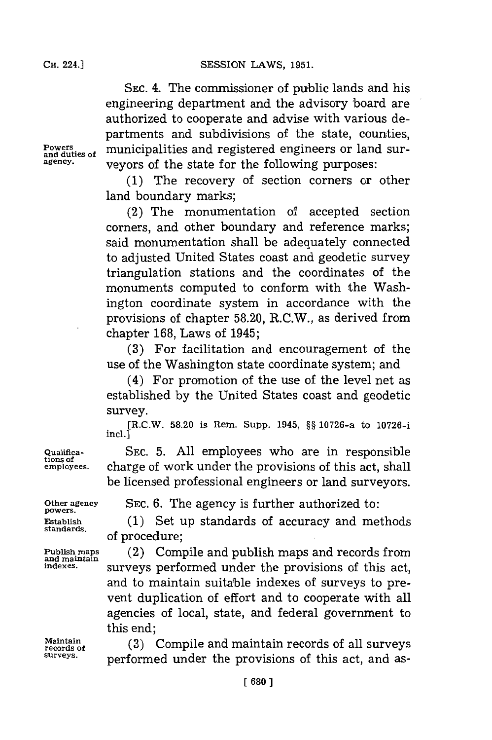**SESSION LAWS, 1951.** 

**SEC.** 4. The commissioner of public lands and his engineering department and the advisory board are authorized to cooperate and advise with various departments and subdivisions of the state, counties, Powers <sub>and duties of municipalities and registered engineers or land sur-</sub> **agency.** veyors of the state for the following purposes:

> **(1)** The recovery of section corners or other land boundary marks;

> (2) The monumentation of accepted section corners, and other boundary and reference marks; said monumentation shall be adequately connected to adjusted United States coast and geodetic survey triangulation stations and the coordinates of the monuments computed to conform with the Washington coordinate system in accordance with the provisions of chapter **58.20,** R.C.W., as derived from chapter **168,** Laws of 1945;

> **(3)** For facilitation and encouragement of the use of the Washington state coordinate system; and

> (4) For promotion of the use of the level net as established **by** the United States coast and geodetic survey.

> **[R.C.W. 58.20 is Rem. Supp. 1945, §§ 10726-a to 10726incl.]**

**Qualifica- SEC. 5. All** employees who are in responsible **tions of employees,** charge of work under the provisions of this act, shall be licensed professional engineers or land surveyors.

**Other agency SEC. 6.** The agency is further authorized to: **powers.**

**Establish** (1) Set up standards of accuracy and methods standards of procedure;

Publish maps **(2)** Compile and publish maps and records from and maintain **publish as a surveys** performed under the provisions of this act, and to maintain suitable indexes of surveys to prevent duplication of effort and to cooperate with all agencies of local, state, and federal government to this end;

**Maintain** (3) Compile and maintain records of all surveys **surveys,** performed under the provisions of this act, and as-